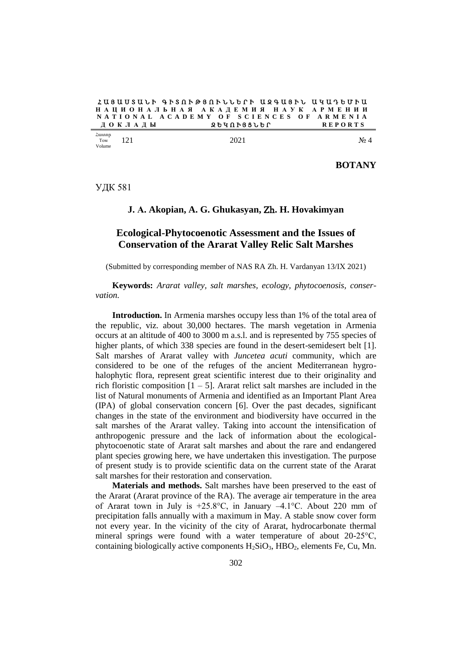$2$  U 3 U U S U L P A F S  $\Omega$  R  $\Omega$  A P L L P P L 2 A U 3 P L U 4 U 7 B U P U **Н А Ц И О Н А Л Ь Н А Я А К А Д Е М И Я Н А У К А Р М Е Н И И N A T I O N A L A C A D E M Y O F S C I E N C E S O F A R M E N I A Д О К Л А Д Ы** 

| <b>Z</b> uunnp | 121 | 2021 | No.       |
|----------------|-----|------|-----------|
| Том            | --  |      | $\Lambda$ |
| Volume         |     |      |           |

**BOTANY**

УДК 581

#### **J. А. Akopian, A. G. Ghukasyan,** Zh**. H. Hovakimyan**

# **Ecological-Phytocoenotic Assessment and the Issues of Conservation of the Ararat Valley Relic Salt Marshes**

(Submitted by corresponding member of NAS RA Zh. H. Vardanyan 13/IХ 2021)

**Keywords:** *Ararat valley, salt marshes, ecology, phytocoenosis, conservation.*

**Introduction.** In Armenia marshes occupy less than 1% of the total area of the republic, viz. about 30,000 hectares. The marsh vegetation in Armenia occurs at an altitude of 400 to 3000 m a.s.l. and is represented by 755 species of higher plants, of which 338 species are found in the desert-semidesert belt [1]. Salt marshes of Ararat valley with *Juncetea acuti* community, which are considered to be one of the refuges of the ancient Mediterranean hygrohalophytic flora, represent great scientific interest due to their originality and rich floristic composition  $[1 - 5]$ . Ararat relict salt marshes are included in the list of Natural monuments of Armenia and identified as an Important Plant Area (IPA) of global conservation concern [6]. Over the past decades, significant changes in the state of the environment and biodiversity have occurred in the salt marshes of the Ararat valley. Taking into account the intensification of anthropogenic pressure and the lack of information about the ecologicalphytocoenotic state of Ararat salt marshes and about the rare and endangered plant species growing here, we have undertaken this investigation. The purpose of present study is to provide scientific data on the current state of the Ararat salt marshes for their restoration and conservation.

**Materials and methods.** Salt marshes have been preserved to the east of the Ararat (Ararat province of the RA). The average air temperature in the area of Ararat town in July is +25.8°C, in January –4.1°C. About 220 mm of precipitation falls annually with a maximum in May. A stable snow cover form not every year. In the vicinity of the city of Ararat, hydrocarbonate thermal mineral springs were found with a water temperature of about 20-25°C, containing biologically active components  $H_2SiO_3$ ,  $HBO_2$ , elements Fe, Cu, Mn.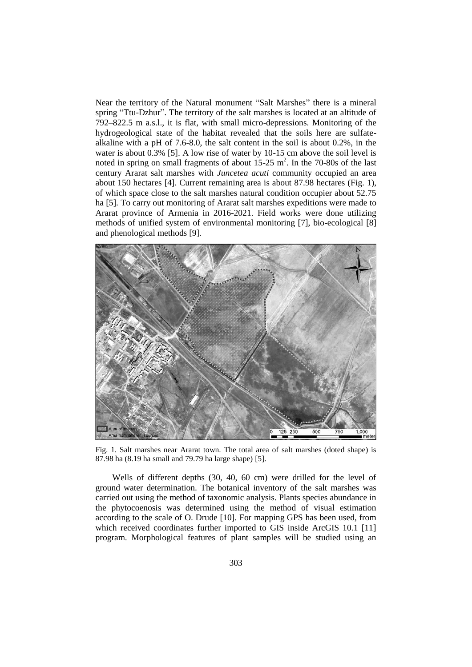Near the territory of the Natural monument "Salt Marshes" there is a mineral spring "Ttu-Dzhur". The territory of the salt marshes is located at an altitude of 792–822.5 m a.s.l., it is flat, with small micro-depressions. Monitoring of the hydrogeological state of the habitat revealed that the soils here are sulfatealkaline with a pH of 7.6-8.0, the salt content in the soil is about 0.2%, in the water is about 0.3% [5]. A low rise of water by 10-15 cm above the soil level is noted in spring on small fragments of about  $15{\text -}25$  m<sup>2</sup>. In the 70-80s of the last century Ararat salt marshes with *Juncetea acuti* community occupied an area about 150 hectares [4]. Current remaining area is about 87.98 hectares (Fig. 1), of which space close to the salt marshes natural condition occupier about 52.75 ha [5]. To carry out monitoring of Ararat salt marshes expeditions were made to Ararat province of Armenia in 2016-2021. Field works were done utilizing methods of unified system of environmental monitoring [7], bio-ecological [8] and phenological methods [9].



Fig. 1. Salt marshes near Ararat town. The total area of salt marshes (doted shape) is 87.98 ha (8.19 ha small and 79.79 ha large shape) [5].

Wells of different depths (30, 40, 60 cm) were drilled for the level of ground water determination. The botanical inventory of the salt marshes was carried out using the method of taxonomic analysis. Plants species abundance in the phytocoenosis was determined using the method of visual estimation according to the scale of O. Drude [10]. For mapping GPS has been used, from which received coordinates further imported to GIS inside ArcGIS 10.1 [11] program. Morphological features of plant samples will be studied using an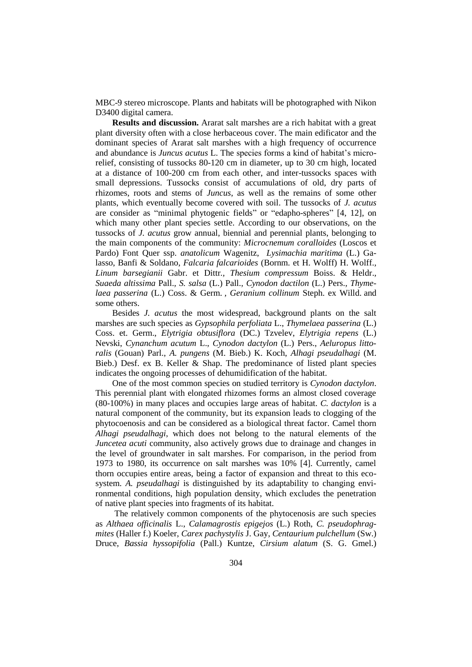MBC-9 stereo microscope. Plants and habitats will be photographed with Nikon D3400 digital camera.

**Results and discussion.** Ararat salt marshes are a rich habitat with a great plant diversity often with a close herbaceous cover. The main edificator and the dominant species of Ararat salt marshes with a high frequency of occurrence and abundance is *Juncus acutus* L. The species forms a kind of habitat's microrelief, consisting of tussocks 80-120 cm in diameter, up to 30 cm high, located at a distance of 100-200 cm from each other, and inter-tussocks spaces with small depressions. Tussocks consist of accumulations of old, dry parts of rhizomes, roots and stems of *Juncus*, as well as the remains of some other plants, which eventually become covered with soil. The tussocks of *J. acutus* are consider as "minimal phytogenic fields" or "edapho-spheres" [4, 12], on which many other plant species settle. According to our observations, on the tussocks of *J. acutus* grow annual, biennial and perennial plants, belonging to the main components of the community: *Microcnemum coralloides* (Loscos et Pardo) Font Quer ssp. *anatolicum* Wagenitz, *Lysimachia maritima* (L.) Galasso, Banfi & Soldano, *Falcaria falcarioides* (Bornm. et H. Wolff) H. Wolff.*, Linum barsegianii* Gabr. et Dittr*., Thesium compressum* Boiss. & Heldr.*, Suaeda altissima* Pall.*, S. salsa* (L.) Pall.*, Cynodon dactilon* (L.) Pers.*, Thymelaea passerina* (L.) Coss. & Germ. *, Geranium collinum* Steph. ex Willd. and some others.

Besides *J. acutus* the most widespread, background plants on the salt marshes are such species as *Gypsophila perfoliata* L., *Thymelaea passerina* (L.) Coss. et. Germ., *Elytrigia obtusiflora* (DC.) Tzvelev, *Elytrigia repens* (L.) Nevski, *Cynanchum acutum* L., *Cynodon dactylon* (L.) Pers., *Aeluropus littoralis* (Gouan) Parl., *A. pungens* (M. Bieb.) K. Koch, *Alhagi pseudalhagi* (M. Bieb.) Desf. ex B. Keller & Shap. The predominance of listed plant species indicates the ongoing processes of dehumidification of the habitat.

One of the most common species on studied territory is *Cynodon dactylon*. This perennial plant with elongated rhizomes forms an almost closed coverage (80-100%) in many places and occupies large areas of habitat. *C. dactylon* is a natural component of the community, but its expansion leads to clogging of the phytocoenosis and can be considered as a biological threat factor. Camel thorn *Alhagi pseudalhagi*, which does not belong to the natural elements of the *Juncetea acuti* community, also actively grows due to drainage and changes in the level of groundwater in salt marshes. For comparison, in the period from 1973 to 1980, its occurrence on salt marshes was 10% [4]. Currently, camel thorn occupies entire areas, being a factor of expansion and threat to this ecosystem. *A. pseudalhagi* is distinguished by its adaptability to changing environmental conditions, high population density, which excludes the penetration of native plant species into fragments of its habitat.

The relatively common components of the phytocenosis are such species as *Althaea officinalis* L., *Calamagrostis epigejos* (L.) Roth, *C. pseudophragmites* (Haller f.) Koeler, *Carex pachystylis* J. Gay, *Centaurium pulchellum* (Sw.) Druce, *Bassia hyssopifolia* (Pall.) Kuntze, *Cirsium alatum* (S. G. Gmel.)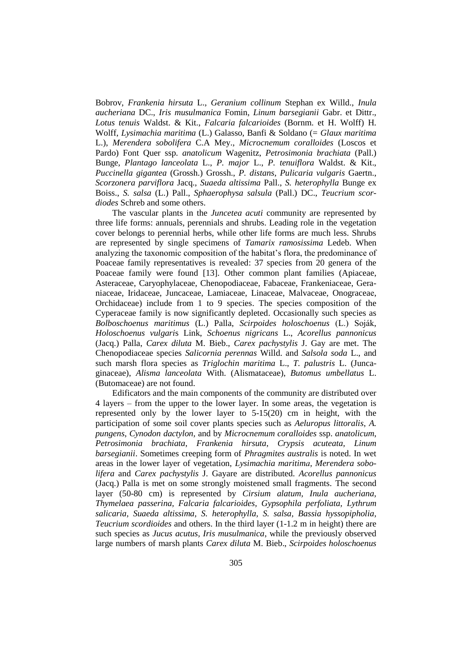Bobrov, *Frankenia hirsuta* L., *Geranium collinum* Stephan ex Willd., *Inula aucheriana* DC., *Iris musulmanica* Fomin, *Linum barsegianii* Gabr. et Dittr., *Lotus tenuis* Waldst. & Kit., *Falcaria falcarioides* (Bornm. et H. Wolff) H. Wolff, *Lysimachia maritima* (L.) Galasso, Banfi & Soldano (= *Glaux maritima* L.), *Merendera sobolifera* C.A Mey., *Microcnemum coralloides* (Loscos et Pardo) Font Quer ssp. *anatolicum* Wagenitz, *Petrosimonia brachiata* (Pall.) Bunge, *Plantago lanceolata* L., *P. major* L., *P. tenuiflora* Waldst. & Kit., *Puccinella gigantea* (Grossh.) Grossh., *P. distans*, *Pulicaria vulgaris* Gaertn., *Scorzonera parviflora* Jacq., *Suaeda altissima* Pall., *S. heterophylla* Bunge ex Boiss., *S. salsa* (L.) Pall., *Sphaerophysa salsula* (Pall.) DC., *Teucrium scordiodes* Schreb and some others.

The vascular plants in the *Juncetea acuti* community are represented by three life forms: annuals, perennials and shrubs. Leading role in the vegetation cover belongs to perennial herbs, while other life forms are much less. Shrubs are represented by single specimens of *Tamarix ramosissima* Ledeb. When analyzing the taxonomic composition of the habitat's flora, the predominance of Poaceae family representatives is revealed: 37 species from 20 genera of the Poaceae family were found [13]. Other common plant families (Apiaceae, Asteraceae, Caryophylaceae, Chenopodiaceae, Fabaceae, Frankeniaceae, Geraniaceae, Iridaceae, Juncaceae, Lamiaceae, Linaceae, Malvaceae, Onograceaе, Orchidaceae) include from 1 to 9 species. The species composition of the Cyperaceae family is now significantly depleted. Occasionally such species as *Bolboschoenus maritimus* (L.) Palla, *Scirpoides holoschoenus* (L.) Soják, *Holoschoenus vulgari*s Link, *Schoenus nigricans* L., *Acorellus pannonicus* (Jacq.) Palla, *Carex diluta* M. Bieb., *Carex pachystylis* J. Gay are met. The Chenopodiaceae species *Salicornia perennas* Willd. and *Salsola soda* L., and such marsh flora species as *Triglochin maritima* L., *T. palustris* L. (Juncaginaceae), *Alisma lanceolata* With. (Alismataceae), *Butomus umbellatus* L. (Butomaceae) are not found.

Edificators and the main components of the community are distributed over 4 layers – from the upper to the lower layer. In some areas, the vegetation is represented only by the lower layer to 5-15(20) cm in height, with the participation of some soil cover plants species such as *Aeluropus littoralis*, *A. pungens*, *Cynodon dactylon,* and by *Microcnemum coralloides* ssp. *anatolicum*, *Petrosimonia brachiata*, *Frankenia hirsuta*, *Crypsis acuteata, Linum barsegianii*. Sometimes creeping form of *Phragmites australis* is noted. In wet areas in the lower layer of vegetation, *Lysimachia maritimа, Merendera sobolifera* and *Carex pachystylis* J. Gayare are distributed. *Acorellus pannonicus*  (Jacq.) Palla is met on some strongly moistened small fragments. The second layer (50-80 cm) is represented by *Cirsium alatum, Inula aucheriana, Thymelaea passerina, Falcaria falcarioides, Gypsophila perfoliata, Lythrum salicaria, Suaeda altissima, S. heterophylla, S. salsa, Bassia hyssopipholia, Teucrium scordioides* and others. In the third layer (1-1.2 m in height) there are such species as *Jucus acutus, Iris musulmanica*, while the previously observed large numbers of marsh plants *Carex diluta* M. Bieb., *Scirpoides holoschoenus*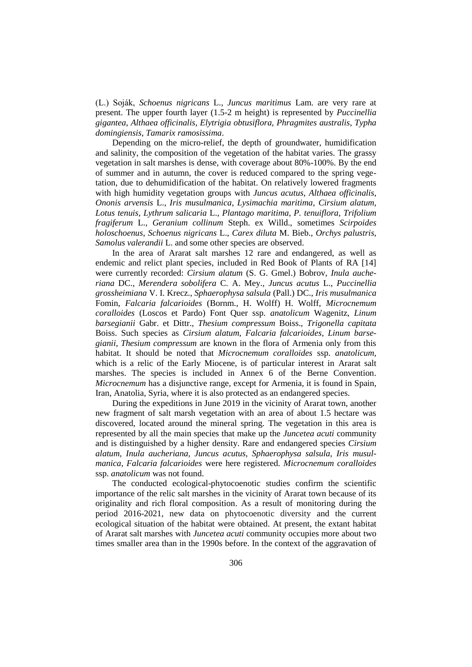(L.) Soják, *Schoenus nigricans* L., *Juncus maritimus* Lam. are very rare at present. The upper fourth layer (1.5-2 m height) is represented by *Puccinellia gigantea*, *Althaea officinalis, Elytrigia obtusiflora, Phragmites australis, Typha domingiensis*, *Tamarix ramosissima*.

Depending on the micro-relief, the depth of groundwater, humidification and salinity, the composition of the vegetation of the habitat varies. The grassy vegetation in salt marshes is dense, with coverage about 80%-100%. By the end of summer and in autumn, the cover is reduced compared to the spring vegetation, due to dehumidification of the habitat. On relatively lowered fragments with high humidity vegetation groups with *Juncus acutus*, *Althaea officinalis*, *Ononis arvensis* L., *Iris musulmanica*, *Lysimachia maritima*, *Cirsium alatum, Lotus tenuis, Lythrum salicaria* L., *Plantago maritima*, *P. tenuiflora, Trifolium fragiferum* L., *Geranium collinum* Steph. ex Willd., sometimes *Scirpoides holoschoenus*, *Schoenus nigricans* L., *Carex diluta* M. Bieb., *Orchys palustris*, *Samolus valerandii* L. and some other species are observed.

In the area of Ararat salt marshes 12 rare and endangered, as well as endemic and relict plant species, included in Red Book of Plants of RA [14] were currently recorded: *Cirsium alatum* (S. G. Gmel.) Bobrov, *Inula aucheriana* DC., *Merendera sobolifera* C. A. Mey., *Juncus acutus* L., *Puccinellia grossheimiana* V. I. Krecz., *Sphaerophysa salsula* (Pall.) DC., *Iris musulmanica* Fomin, *Falcaria falcarioides* (Bornm., H. Wolff) H. Wolff, *Microcnemum coralloides* (Loscos et Pardo) Font Quer ssp. *anatolicum* Wagenitz, *Linum barsegianii* Gabr. et Dittr., *Thesium compressum* Boiss., *Trigonella capitata* Boiss. Such species as *Cirsium alatum*, *Falcaria falcarioides*, *Linum barsegianii*, *Thesium compressum* are known in the flora of Armenia only from this habitat. It should be noted that *Microcnemum coralloides* ssp. *anatolicum*, which is a relic of the Early Miocene, is of particular interest in Ararat salt marshes. The species is included in Annex 6 of the Berne Convention. *Microcnemum* has a disjunctive range, except for Armenia, it is found in Spain, Iran, Anatolia, Syria, where it is also protected as an endangered species.

During the expeditions in June 2019 in the vicinity of Ararat town, another new fragment of salt marsh vegetation with an area of about 1.5 hectare was discovered, located around the mineral spring. The vegetation in this area is represented by all the main species that make up the *Juncetea acuti* community and is distinguished by a higher density. Rare and endangered species *Cirsium alatum, Inula aucheriana, Juncus acutus, Sphaerophysa salsula, Iris musulmanica, Falcaria falcarioides* were here registered. *Microcnemum coralloides* ssp. *anatolicum* was not found.

The conducted ecological-phytocoenotic studies confirm the scientific importance of the relic salt marshes in the vicinity of Ararat town because of its originality and rich floral composition. As a result of monitoring during the period 2016-2021, new data on phytocoenotic diversity and the current ecological situation of the habitat were obtained. At present, the extant habitat of Ararat salt marshes with *Juncetea acuti* community occupies more about two times smaller area than in the 1990s before. In the context of the aggravation of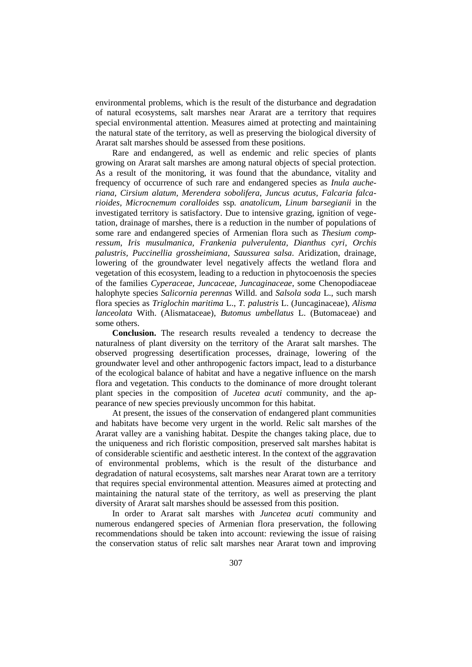environmental problems, which is the result of the disturbance and degradation of natural ecosystems, salt marshes near Ararat are a territory that requires special environmental attention. Measures aimed at protecting and maintaining the natural state of the territory, as well as preserving the biological diversity of Ararat salt marshes should be assessed from these positions.

Rare and endangered, as well as endemic and relic species of plants growing on Ararat salt marshes are among natural objects of special protection. As a result of the monitoring, it was found that the abundance, vitality and frequency of occurrence of such rare and endangered species as *Inula aucheriana, Cirsium alatum, Merendera sobolifera, Juncus acutus, Falcaria falcarioides, Microcnemum coralloides* ssp*. anatolicum, Linum barsegianii* in the investigated territory is satisfactory. Due to intensive grazing, ignition of vegetation, drainage of marshes, there is a reduction in the number of populations of some rare and endangered species of Armenian flora such as *Thesium compressum*, *Iris musulmanica, Frankenia pulverulenta, Dianthus cyri, Orchis palustris, Puccinellia grossheimiana*, *Saussurea salsa*. Aridization, drainage, lowering of the groundwater level negatively affects the wetland flora and vegetation of this ecosystem, leading to a reduction in phytocoenosis the species of the families *Cyperaceae, Juncaceae, Juncaginaceae*, some Chenopodiaceae halophyte species *Salicornia perennas* Willd. and *Salsola soda* L., such marsh flora species as *Triglochin maritima* L., *T. palustris* L. (Juncaginaceae), *Alisma lanceolata* With. (Alismataceae), *Butomus umbellatus* L. (Butomaceae) and some others.

**Conclusion.** The research results revealed a tendency to decrease the naturalness of plant diversity on the territory of the Ararat salt marshes. The observed progressing desertification processes, drainage, lowering of the groundwater level and other anthropogenic factors impact, lead to a disturbance of the ecological balance of habitat and have a negative influence on the marsh flora and vegetation. This conducts to the dominance of more drought tolerant plant species in the composition of *Jucetea acuti* community, and the appearance of new species previously uncommon for this habitat.

At present, the issues of the conservation of endangered plant communities and habitats have become very urgent in the world. Relic salt marshes of the Ararat valley are a vanishing habitat. Despite the changes taking place, due to the uniqueness and rich floristic composition, preserved salt marshes habitat is of considerable scientific and aesthetic interest. In the context of the aggravation of environmental problems, which is the result of the disturbance and degradation of natural ecosystems, salt marshes near Ararat town are a territory that requires special environmental attention. Measures aimed at protecting and maintaining the natural state of the territory, as well as preserving the plant diversity of Ararat salt marshes should be assessed from this position.

In order to Ararat salt marshes with *Juncetea acuti* community and numerous endangered species of Armenian flora preservation, the following recommendations should be taken into account: reviewing the issue of raising the conservation status of relic salt marshes near Ararat town and improving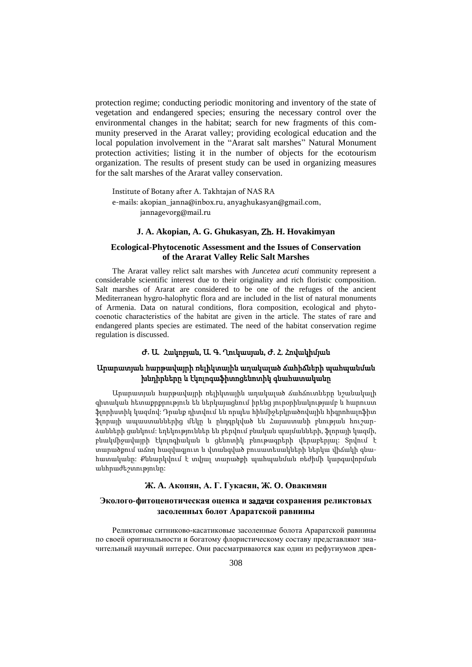protection regime; conducting periodic monitoring and inventory of the state of vegetation and endangered species; ensuring the necessary control over the environmental changes in the habitat; search for new fragments of this community preserved in the Ararat valley; providing ecological education and the local population involvement in the "Ararat salt marshes" Natural Monument protection activities; listing it in the number of objects for the ecotourism organization. The results of present study can be used in organizing measures for the salt marshes of the Ararat valley conservation.

Institute of Botany after A. Takhtajan of NAS RA e-mails: [akopian\\_janna@inbox.ru,](mailto:akopian_janna@inbox.ru) [anyaghukasyan@gmail.com,](mailto:anyaghukasyan@gmail.com) jannagevorg@mail.ru

## **J. A. Akopian, A. G. Ghukasyan,** Zh**. H. Hovakimyan**

# **Ecological-Phytocenotic Assessment and the Issues of Conservation of the Ararat Valley Relic Salt Marshes**

The Ararat valley relict salt marshes with *Juncetea acuti* community represent a considerable scientific interest due to their originality and rich floristic composition. Salt marshes of Ararat are considered to be one of the refuges of the ancient Mediterranean hygro-halophytic flora and are included in the list of natural monuments of Armenia. Data on natural conditions, flora composition, ecological and phytocоеnotic characteristics of the habitat are given in the article. The states of rare and endangered plants species are estimated. The need of the habitat conservation regime regulation is discussed.

# Ժ**.** Ա. Հակոբյան, Ա. Գ. Ղուկասյան, Ժ. Հ. Հովակիմյան

# Արարատյան հարթավայրի ռելիկտային աղակալած ճահիճների պահպանման խնդիրները և էկոլոգաֆիտոցենոտիկ գնահատականը

Արարատյան հարթավայրի ռելիկտային աղակալած ճահճուտները նշանակալի գիտական հետաքրքրություն են ներկայացնում իրենց յուրօրինակությամբ և հարուստ ֆլորիստիկ կազմով: Դրանք դիտվում են որպես հինմիջերկրածովային հիգրոհալոֆիտ ֆլորայի ապաստաններից մեկը և ընդգրկված են Հայաստանի բնության հուշարձանների ցանկում: եղեկություններ են բերվում բնական պայմանների, ֆլորայի կազմի, բնակմիջավայրի էկոլոգիական և ցենոտիկ բնութագրերի վերաբերյալ: Տրվում է տարածքում աճող հազվագյուտ և վտանգված բուսատեսակների ներկա վիճակի գնահատականը: Քննարկվում է տվյալ տարածքի պահպանման ռեժիմի կարգավորման անհրաժեշտությունը:

## **Ж. A. Акопян, А. Г. Гукасян, Ж. O. Овакимян**

### **Эколого-фитоценотическая оценка и** задачи **сохранения реликтовых засоленных болот Араратской равнины**

Реликтовые ситниково-касатиковые засоленные болота Араратской равнины по своей оригинальности и богатому флористическому составу представляют значительный научный интерес. Они рассматриваются как один из рефугиумов древ-